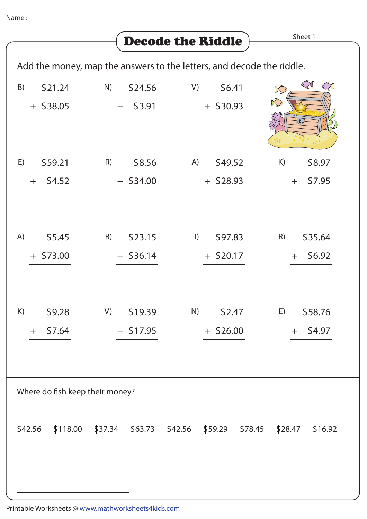Add the money, map the answers to the letters, and decode the riddle.

| \$21.24<br>B)<br>$+$ \$38.05    | \$24.56<br>N)<br>\$3.91<br>$+$ | \$6.41<br>V)<br>$+$ \$30.93       | S<br>$\mathbb{C}$<br>Ko<br>K   |  |  |  |  |
|---------------------------------|--------------------------------|-----------------------------------|--------------------------------|--|--|--|--|
| \$59.21<br>E)                   | \$8.56<br>R)                   | \$49.52<br>A)                     | \$8.97<br>K)                   |  |  |  |  |
| \$4.52<br>$+$                   | $+$ \$34.00                    | $+$ \$28.93                       | \$7.95<br>$+$                  |  |  |  |  |
| \$5.45<br>A)<br>$+$ \$73.00     | \$23.15<br>B)<br>$+$ \$36.14   | \$97.83<br>$\vert$<br>$+$ \$20.17 | R)<br>\$35.64<br>\$6.92<br>$+$ |  |  |  |  |
| \$9.28<br>K)                    | \$19.39<br>V)                  | N)<br>\$2.47                      | \$58.76<br>E)                  |  |  |  |  |
| \$7.64<br>$\pm$                 | $+$ \$17.95                    | $+$ \$26.00                       | \$4.97<br>$+$                  |  |  |  |  |
|                                 |                                |                                   |                                |  |  |  |  |
| Where do fish keep their money? |                                |                                   |                                |  |  |  |  |
| \$42.56<br>\$118.00             | \$37.34<br>\$63.73             | \$42.56<br>\$59.29<br>\$78.45     | \$28.47<br>\$16.92             |  |  |  |  |